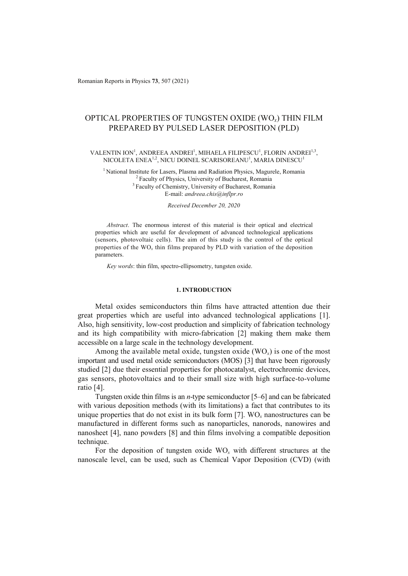# OPTICAL PROPERTIES OF TUNGSTEN OXIDE (WO*x*) THIN FILM PREPARED BY PULSED LASER DEPOSITION (PLD)

# VALENTIN ION<sup>1</sup>, ANDREEA ANDREI<sup>1</sup>, MIHAELA FILIPESCU<sup>1</sup>, FLORIN ANDREI<sup>1,3</sup>, NICOLETA ENEA $^{1,2},$  NICU DOINEL SCARISOREANU $^{1}$ , MARIA DINESCU $^{1}$

<sup>1</sup> National Institute for Lasers, Plasma and Radiation Physics, Magurele, Romania <sup>2</sup> Faculty of Physics, University of Bucharest, Romania <sup>3</sup> Faculty of Chemistry, University of Bucharest, Romania E-mail: *andreea.chis@inflpr.ro*

### *Received December 20, 2020*

*Abstract*. The enormous interest of this material is their optical and electrical properties which are useful for development of advanced technological applications (sensors, photovoltaic cells). The aim of this study is the control of the optical properties of the WO*x* thin films prepared by PLD with variation of the deposition parameters.

*Key words*: thin film, spectro-ellipsometry, tungsten oxide.

# **1. INTRODUCTION**

Metal oxides semiconductors thin films have attracted attention due their great properties which are useful into advanced technological applications [1]. Also, high sensitivity, low-cost production and simplicity of fabrication technology and its high compatibility with micro-fabrication [2] making them make them accessible on a large scale in the technology development.

Among the available metal oxide, tungsten oxide  $(WO_x)$  is one of the most important and used metal oxide semiconductors (MOS) [3] that have been rigorously studied [2] due their essential properties for photocatalyst, electrochromic devices, gas sensors, photovoltaics and to their small size with high surface-to-volume ratio [4].

Tungsten oxide thin films is an *n*-type semiconductor [5–6] and can be fabricated with various deposition methods (with its limitations) a fact that contributes to its unique properties that do not exist in its bulk form [7]. WO*x* nanostructures can be manufactured in different forms such as nanoparticles, nanorods, nanowires and nanosheet [4], nano powders [8] and thin films involving a compatible deposition technique.

For the deposition of tungsten oxide WO*x* with different structures at the nanoscale level, can be used, such as Chemical Vapor Deposition (CVD) (with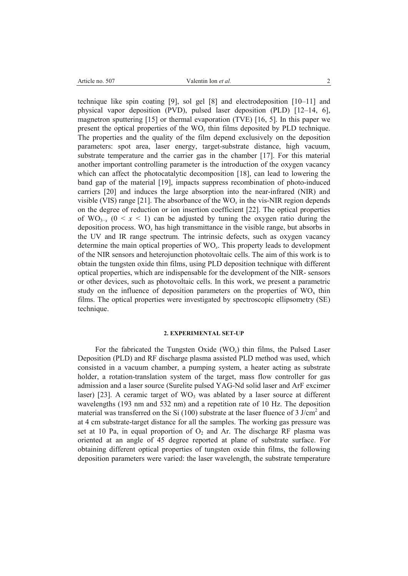technique like spin coating [9], sol gel [8] and electrodeposition [10–11] and physical vapor deposition (PVD), pulsed laser deposition (PLD) [12–14, 6], magnetron sputtering [15] or thermal evaporation (TVE) [16, 5]. In this paper we present the optical properties of the WO*x* thin films deposited by PLD technique. The properties and the quality of the film depend exclusively on the deposition parameters: spot area, laser energy, target-substrate distance, high vacuum, substrate temperature and the carrier gas in the chamber [17]. For this material another important controlling parameter is the introduction of the oxygen vacancy which can affect the photocatalytic decomposition [18], can lead to lowering the band gap of the material [19], impacts suppress recombination of photo-induced carriers [20] and induces the large absorption into the near-infrared (NIR) and visible (VIS) range [21]. The absorbance of the  $WO_x$  in the vis-NIR region depends on the degree of reduction or ion insertion coefficient [22]. The optical properties of WO<sub>3−*x*</sub> (0 < *x* < 1) can be adjusted by tuning the oxygen ratio during the deposition process. WO*x* has high transmittance in the visible range, but absorbs in the UV and IR range spectrum. The intrinsic defects, such as oxygen vacancy determine the main optical properties of WO*x*. This property leads to development of the NIR sensors and heterojunction photovoltaic cells. The aim of this work is to obtain the tungsten oxide thin films, using PLD deposition technique with different optical properties, which are indispensable for the development of the NIR- sensors or other devices, such as photovoltaic cells. In this work, we present a parametric study on the influence of deposition parameters on the properties of  $WO<sub>x</sub>$  thin films. The optical properties were investigated by spectroscopic ellipsometry (SE) technique.

### **2. EXPERIMENTAL SET-UP**

For the fabricated the Tungsten Oxide (WO*x*) thin films, the Pulsed Laser Deposition (PLD) and RF discharge plasma assisted PLD method was used, which consisted in a vacuum chamber, a pumping system, a heater acting as substrate holder, a rotation-translation system of the target, mass flow controller for gas admission and a laser source (Surelite pulsed YAG-Nd solid laser and ArF excimer laser) [23]. A ceramic target of  $WO_3$  was ablated by a laser source at different wavelengths (193 nm and 532 nm) and a repetition rate of 10 Hz. The deposition material was transferred on the Si (100) substrate at the laser fluence of 3  $J/cm<sup>2</sup>$  and at 4 cm substrate-target distance for all the samples. The working gas pressure was set at 10 Pa, in equal proportion of  $O_2$  and Ar. The discharge RF plasma was oriented at an angle of 45 degree reported at plane of substrate surface. For obtaining different optical properties of tungsten oxide thin films, the following deposition parameters were varied: the laser wavelength, the substrate temperature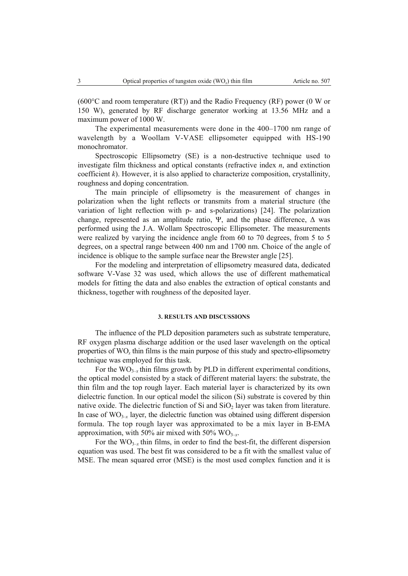$(600^{\circ}$ C and room temperature (RT)) and the Radio Frequency (RF) power (0 W or 150 W), generated by RF discharge generator working at 13.56 MHz and a maximum power of 1000 W.

The experimental measurements were done in the 400–1700 nm range of wavelength by a Woollam V-VASE ellipsometer equipped with HS-190 monochromator.

Spectroscopic Ellipsometry (SE) is a non-destructive technique used to investigate film thickness and optical constants (refractive index *n*, and extinction coefficient *k*). However, it is also applied to characterize composition, crystallinity, roughness and doping concentration.

The main principle of ellipsometry is the measurement of changes in polarization when the light reflects or transmits from a material structure (the variation of light reflection with p- and s-polarizations) [24]. The polarization change, represented as an amplitude ratio, Ψ, and the phase difference,  $\Delta$  was performed using the J.A. Wollam Spectroscopic Ellipsometer. The measurements were realized by varying the incidence angle from 60 to 70 degrees, from 5 to 5 degrees, on a spectral range between 400 nm and 1700 nm. Choice of the angle of incidence is oblique to the sample surface near the Brewster angle [25].

For the modeling and interpretation of ellipsometry measured data, dedicated software V-Vase 32 was used, which allows the use of different mathematical models for fitting the data and also enables the extraction of optical constants and thickness, together with roughness of the deposited layer.

# **3. RESULTS AND DISCUSSIONS**

The influence of the PLD deposition parameters such as substrate temperature, RF oxygen plasma discharge addition or the used laser wavelength on the optical properties of WO*x* thin films is the main purpose of this study and spectro-ellipsometry technique was employed for this task.

For the  $WO_{3-x}$  thin films growth by PLD in different experimental conditions, the optical model consisted by a stack of different material layers: the substrate, the thin film and the top rough layer. Each material layer is characterized by its own dielectric function. In our optical model the silicon (Si) substrate is covered by thin native oxide. The dielectric function of Si and  $SiO<sub>2</sub>$  layer was taken from literature. In case of  $WO_{3-x}$  layer, the dielectric function was obtained using different dispersion formula. The top rough layer was approximated to be a mix layer in B-EMA approximation, with 50% air mixed with 50%  $WO_{3-x}$ .

For the  $WO_{3-x}$  thin films, in order to find the best-fit, the different dispersion equation was used. The best fit was considered to be a fit with the smallest value of MSE. The mean squared error (MSE) is the most used complex function and it is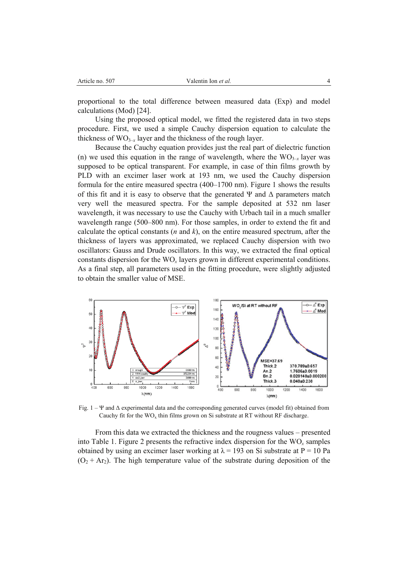proportional to the total difference between measured data (Exp) and model calculations (Mod) [24].

Using the proposed optical model, we fitted the registered data in two steps procedure. First, we used a simple Cauchy dispersion equation to calculate the thickness of  $WO_{3-x}$  layer and the thickness of the rough layer.

Because the Cauchy equation provides just the real part of dielectric function (n) we used this equation in the range of wavelength, where the  $WO_{3-x}$  layer was supposed to be optical transparent. For example, in case of thin films growth by PLD with an excimer laser work at 193 nm, we used the Cauchy dispersion formula for the entire measured spectra (400–1700 nm). Figure 1 shows the results of this fit and it is easy to observe that the generated  $\Psi$  and  $\Delta$  parameters match very well the measured spectra. For the sample deposited at 532 nm laser wavelength, it was necessary to use the Cauchy with Urbach tail in a much smaller wavelength range (500–800 nm). For those samples, in order to extend the fit and calculate the optical constants  $(n \text{ and } k)$ , on the entire measured spectrum, after the thickness of layers was approximated, we replaced Cauchy dispersion with two oscillators: Gauss and Drude oscillators. In this way, we extracted the final optical constants dispersion for the WO*x* layers grown in different experimental conditions. As a final step, all parameters used in the fitting procedure, were slightly adjusted to obtain the smaller value of MSE.



Fig. 1 – Ψ and Δ experimental data and the corresponding generated curves (model fit) obtained from Cauchy fit for the  $WO_x$  thin films grown on Si substrate at RT without RF discharge.

From this data we extracted the thickness and the rougness values – presented into Table 1. Figure 2 presents the refractive index dispersion for the WO*x* samples obtained by using an excimer laser working at  $\lambda = 193$  on Si substrate at P = 10 Pa  $(O_2 + Ar_2)$ . The high temperature value of the substrate during deposition of the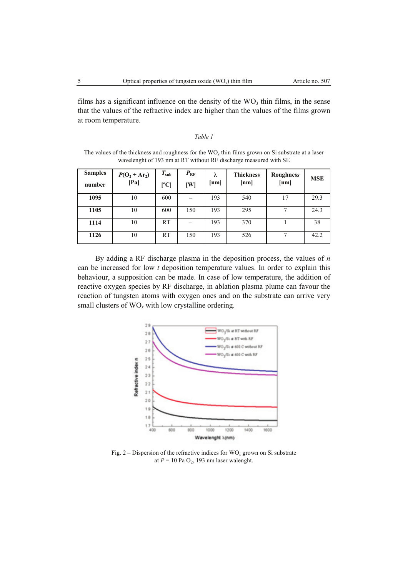films has a significant influence on the density of the  $WO_3$  thin films, in the sense that the values of the refractive index are higher than the values of the films grown at room temperature.

### *Table 1*

The values of the thickness and roughness for the WO*x* thin films grown on Si substrate at a laser wavelenght of 193 nm at RT without RF discharge measured with SE

| <b>Samples</b><br>number | $P(O_2 + Ar_2)$<br>[Pa] | $T_{\rm sub}$<br>[°C] | $P_{\rm RF}$<br>[W] | λ<br>[nm] | <b>Thickness</b><br>[nm] | Roughness<br>[nm] | <b>MSE</b> |
|--------------------------|-------------------------|-----------------------|---------------------|-----------|--------------------------|-------------------|------------|
| 1095                     | 10                      | 600                   |                     | 193       | 540                      | 17                | 29.3       |
| 1105                     | 10                      | 600                   | 150                 | 193       | 295                      | $\tau$            | 24.3       |
| 1114                     | 10                      | RT                    |                     | 193       | 370                      |                   | 38         |
| 1126                     | 10                      | RT                    | 150                 | 193       | 526                      | 7                 | 42.2       |

By adding a RF discharge plasma in the deposition process, the values of *n* can be increased for low *t* deposition temperature values. In order to explain this behaviour, a supposition can be made. In case of low temperature, the addition of reactive oxygen species by RF discharge, in ablation plasma plume can favour the reaction of tungsten atoms with oxygen ones and on the substrate can arrive very small clusters of  $WO_x$  with low crystalline ordering.



Fig.  $2 -$  Dispersion of the refractive indices for  $WO_x$  grown on Si substrate at  $P = 10$  Pa  $O_2$ , 193 nm laser walenght.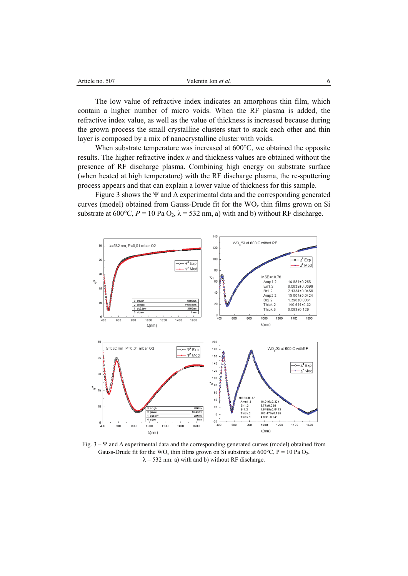| 507<br>Article no.<br>$  -$ | alentin Ion <i>et al.</i> |  |
|-----------------------------|---------------------------|--|
|                             |                           |  |

The low value of refractive index indicates an amorphous thin film, which contain a higher number of micro voids. When the RF plasma is added, the refractive index value, as well as the value of thickness is increased because during the grown process the small crystalline clusters start to stack each other and thin layer is composed by a mix of nanocrystalline cluster with voids.

When substrate temperature was increased at 600°C, we obtained the opposite results. The higher refractive index *n* and thickness values are obtained without the presence of RF discharge plasma. Combining high energy on substrate surface (when heated at high temperature) with the RF discharge plasma, the re-sputtering process appears and that can explain a lower value of thickness for this sample.

Figure 3 shows the Ψ and  $\Delta$  experimental data and the corresponding generated curves (model) obtained from Gauss-Drude fit for the WO*x* thin films grown on Si substrate at 600°C,  $P = 10$  Pa O<sub>2</sub>,  $\lambda = 532$  nm, a) with and b) without RF discharge.



Fig. 3 – Ψ and Δ experimental data and the corresponding generated curves (model) obtained from Gauss-Drude fit for the WO<sub>x</sub> thin films grown on Si substrate at 600°C, P = 10 Pa O<sub>2</sub>,  $\lambda$  = 532 nm: a) with and b) without RF discharge.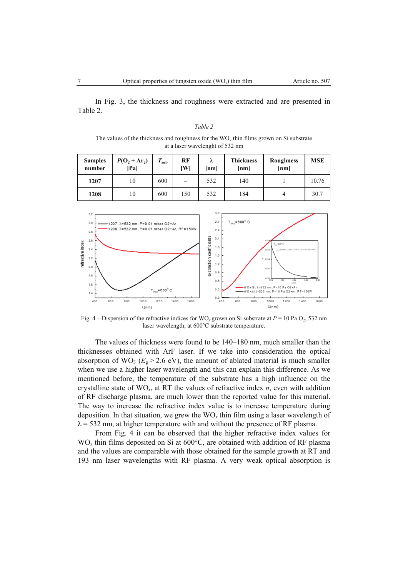In Fig. 3, the thickness and roughness were extracted and are presented in Table 2.

| ante |  |
|------|--|
|------|--|

The values of the thickness and roughness for the  $WO<sub>x</sub>$  thin films grown on Si substrate at a laser wavelenght of 532 nm

| <b>Samples</b><br>number | $P(O_2 + Ar_2)$<br>[Pa] | T<br>sub | RF<br>IWI | λ<br>[nm] | <b>Thickness</b><br>[nm] | Roughness<br>[nm] | <b>MSE</b> |
|--------------------------|-------------------------|----------|-----------|-----------|--------------------------|-------------------|------------|
| 1207                     | 10                      | 600      |           | 532       | 140                      |                   | 10.76      |
| 1208                     | 10                      | 600      | 150       | 532       | 184                      |                   | 30.7       |



Fig. 4 – Dispersion of the refractive indices for WO<sub>x</sub> grown on Si substrate at  $P = 10$  Pa O<sub>2</sub>, 532 nm laser wavelength, at 600°C substrate temperature.

The values of thickness were found to be 140–180 nm, much smaller than the thicknesses obtained with ArF laser. If we take into consideration the optical absorption of WO<sub>3</sub> ( $E_g > 2.6$  eV), the amount of ablated material is much smaller when we use a higher laser wavelength and this can explain this difference. As we mentioned before, the temperature of the substrate has a high influence on the crystalline state of WO*x*, at RT the values of refractive index *n*, even with addition of RF discharge plasma, are much lower than the reported value for this material. The way to increase the refractive index value is to increase temperature during deposition. In that situation, we grew the WO*x* thin film using a laser wavelength of  $\lambda$  = 532 nm, at higher temperature with and without the presence of RF plasma.

From Fig. 4 it can be observed that the higher refractive index values for  $WO<sub>x</sub>$  thin films deposited on Si at  $600^{\circ}$ C, are obtained with addition of RF plasma and the values are comparable with those obtained for the sample growth at RT and 193 nm laser wavelengths with RF plasma. A very weak optical absorption is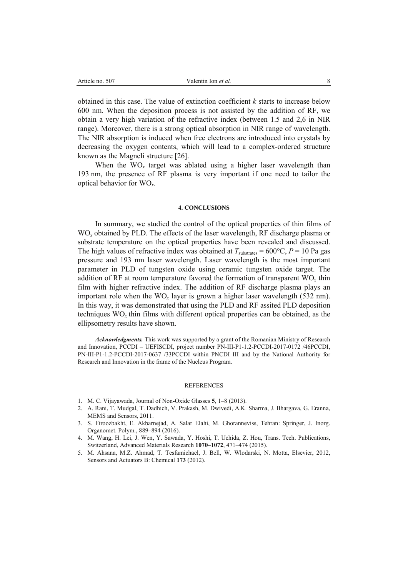obtained in this case. The value of extinction coefficient *k* starts to increase below 600 nm. When the deposition process is not assisted by the addition of RF, we obtain a very high variation of the refractive index (between 1.5 and 2,6 in NIR range). Moreover, there is a strong optical absorption in NIR range of wavelength. The NIR absorption is induced when free electrons are introduced into crystals by decreasing the oxygen contents, which will lead to a complex-ordered structure known as the Magneli structure [26].

When the WO<sub>r</sub> target was ablated using a higher laser wavelength than 193 nm, the presence of RF plasma is very important if one need to tailor the optical behavior for WO*x*.

#### **4. CONCLUSIONS**

In summary, we studied the control of the optical properties of thin films of WO<sub>x</sub> obtained by PLD. The effects of the laser wavelength, RF discharge plasma or substrate temperature on the optical properties have been revealed and discussed. The high values of refractive index was obtained at  $T_{\text{substrates}} = 600^{\circ}\text{C}$ ,  $P = 10$  Pa gas pressure and 193 nm laser wavelength. Laser wavelength is the most important parameter in PLD of tungsten oxide using ceramic tungsten oxide target. The addition of RF at room temperature favored the formation of transparent WO*x* thin film with higher refractive index. The addition of RF discharge plasma plays an important role when the  $WO_x$  layer is grown a higher laser wavelength (532 nm). In this way, it was demonstrated that using the PLD and RF assited PLD deposition techniques WO*<sup>x</sup>* thin films with different optical properties can be obtained, as the ellipsometry results have shown.

*Acknowledgments.* This work was supported by a grant of the Romanian Ministry of Research and Innovation, PCCDI – UEFISCDI, project number PN-III-P1-1.2-PCCDI-2017-0172 /46PCCDI, PN-III-P1-1.2-PCCDI-2017-0637 /33PCCDI within PNCDI III and by the National Authority for Research and Innovation in the frame of the Nucleus Program.

#### **REFERENCES**

- 1. M. C. Vijayawada, Journal of Non-Oxide Glasses **5**, 1–8 (2013).
- 2. A. Rani, T. Mudgal, T. Dadhich, V. Prakash, M. Dwivedi, A.K. Sharma, J. Bhargava, G. Eranna, MEMS and Sensors, 2011.
- 3. S. Firoozbakht, E. Akbarnejad, A. Salar Elahi, M. Ghoranneviss, Tehran: Springer, J. Inorg. Organomet. Polym., 889–894 (2016).
- 4. M. Wang, H. Lei, J. Wen, Y. Sawada, Y. Hoshi, T. Uchida, Z. Hou, Trans. Tech. Publications, Switzerland, Advanced Materials Research **1070–1072**, 471–474 (2015).
- 5. M. Ahsana, M.Z. Ahmad, T. Tesfamichael, J. Bell, W. Wlodarski, N. Motta, Elsevier, 2012, Sensors and Actuators B: Chemical **173** (2012).